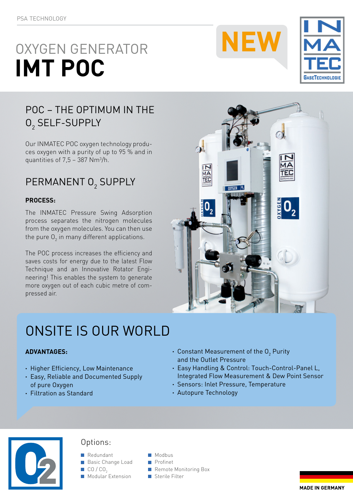# OXYGEN GENERATOR **IMT POC**





## POC – THE OPTIMUM IN THE  $0<sub>2</sub>$  SELF-SUPPLY

Our INMATEC POC oxygen technology produces oxygen with a purity of up to 95 % and in quantities of  $7,5$  – 387 Nm<sup>3</sup>/h.

# PERMANENT 02 SUPPLY

### **PROCESS:**

The INMATEC Pressure Swing Adsorption process separates the nitrogen molecules from the oxygen molecules. You can then use the pure  ${\mathsf O}_{\bar 2}$  in many different applications.

The POC process increases the efficiency and saves costs for energy due to the latest Flow Technique and an Innovative Rotator Engineering! This enables the system to generate more oxygen out of each cubic metre of compressed air.



# ONSITE IS OUR WORLD

### **ADVANTAGES:**

- **·** Higher Efficiency, Low Maintenance
- **·** Easy, Reliable and Documented Supply of pure Oxygen
- **·** Filtration as Standard
- $\cdot$  Constant Measurement of the O<sub>2</sub> Purity and the Outlet Pressure
- **·** Easy Handling & Control: Touch-Control-Panel L, Integrated Flow Measurement & Dew Point Sensor
- **·** Sensors: Inlet Pressure, Temperature
- **·** Autopure Technology



### Options:

- **Redundant** Modbus
- Basic Change Load Profinet
	-
- $\blacksquare$  Modular Extension
- 
- CO / CO<sub>2</sub> Remote Monitoring Box<br>
Modular Extension<br> **CO** Sterile Filter
	-

**MADE IN GERMANY**